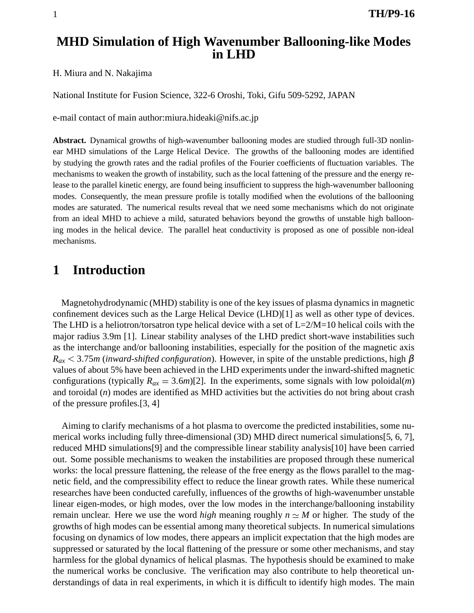### **MHD Simulation of High Wavenumber Ballooning-like Modes in LHD**

H. Miura and N. Nakajima

National Institute for Fusion Science, 322-6 Oroshi, Toki, Gifu 509-5292, JAPAN

e-mail contact of main author:miura.hideaki@nifs.ac.jp

**Abstract.** Dynamical growths of high-wavenumber ballooning modes are studied through full-3D nonlinear MHD simulations of the Large Helical Device. The growths of the ballooning modes are identified by studying the growth rates and the radial profiles of the Fourier coefficients of fluctuation variables. The mechanisms to weaken the growth of instability, such as the local fattening of the pressure and the energy release to the parallel kinetic energy, are found being insufficient to suppress the high-wavenumber ballooning modes. Consequently, the mean pressure profile is totally modified when the evolutions of the ballooning modes are saturated. The numerical results reveal that we need some mechanisms which do not originate from an ideal MHD to achieve a mild, saturated behaviors beyond the growths of unstable high ballooning modes in the helical device. The parallel heat conductivity is proposed as one of possible non-ideal mechanisms.

# **1 Introduction**

Magnetohydrodynamic (MHD) stability is one of the key issues of plasma dynamicsin magnetic confinement devices such as the Large Helical Device (LHD)[1] as well as other type of devices. The LHD is a heliotron/torsatron type helical device with a set of  $L=2/M=10$  helical coils with the major radius 3.9m [1]. Linear stability analyses of the LHD predict short-wave instabilities such as the interchange and/or ballooning instabilities, especially for the position of the magnetic axis *Rax* 3 75*m* (*inward-shifted configuration*). However, in spite of the unstable predictions, high β values of about 5% have been achieved in the LHD experiments under the inward-shifted magnetic configurations (typically  $R_{ax} = 3.6m$ )[2]. In the experiments, some signals with low poloidal(*m*) and toroidal (*n*) modes are identified as MHD activities but the activities do not bring about crash of the pressure profiles.[3, 4]

Aiming to clarify mechanisms of a hot plasma to overcome the predicted instabilities, some numerical works including fully three-dimensional (3D) MHD direct numerical simulations[5, 6, 7], reduced MHD simulations[9] and the compressible linear stability analysis[10] have been carried out. Some possible mechanisms to weaken the instabilities are proposed through these numerical works: the local pressure flattening, the release of the free energy as the flows parallel to the magnetic field, and the compressibility effect to reduce the linear growth rates. While these numerical researches have been conducted carefully, influences of the growths of high-wavenumber unstable linear eigen-modes, or high modes, over the low modes in the interchange/ballooning instability remain unclear. Here we use the word *high* meaning roughly  $n \simeq M$  or higher. The study of the growths of high modes can be essential among many theoretical subjects. In numerical simulations focusing on dynamics of low modes, there appears an implicit expectation that the high modes are suppressed or saturated by the local flattening of the pressure or some other mechanisms, and stay harmless for the global dynamics of helical plasmas. The hypothesis should be examined to make the numerical works be conclusive. The verification may also contribute to help theoretical understandings of data in real experiments, in which it is difficult to identify high modes. The main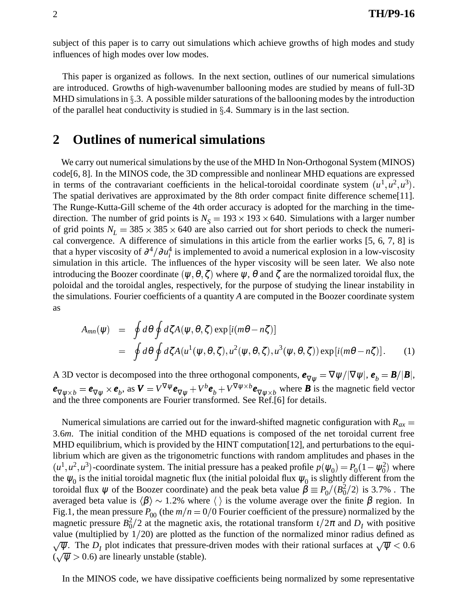subject of this paper is to carry out simulations which achieve growths of high modes and study influences of high modes over low modes.

This paper is organized as follows. In the next section, outlines of our numerical simulations are introduced. Growths of high-wavenumber ballooning modes are studied by means of full-3D MHD simulations in  $\S$ .3. A possible milder saturations of the ballooning modes by the introduction of the parallel heat conductivity is studied in  $\S$ .4. Summary is in the last section.

## **2 Outlines of numerical simulations**

We carry out numerical simulations by the use of the MHD In Non-Orthogonal System (MINOS) code[6, 8]. In the MINOS code, the 3D compressible and nonlinear MHD equations are expressed in terms of the contravariant coefficients in the helical-toroidal coordinate system  $(u^1, u^2, u^3)$ . The spatial derivatives are approximated by the 8th order compact finite difference scheme[11]. The Runge-Kutta-Gill scheme of the 4th order accuracy is adopted for the marching in the timedirection. The number of grid points is  $N<sub>S</sub> = 193 \times 193 \times 640$ . Simulations with a larger number of grid points  $N_L = 385 \times 385 \times 640$  are also carried out for short periods to check the numerical convergence. A difference of simulations in this article from the earlier works [5, 6, 7, 8] is that a hyper viscosity of  $\partial^4/\partial u_i^4$  is implemented to avoid a numerical explosion in a low-viscosity simulation in this article. The influences of the hyper viscosity will be seen later. We also note introducing the Boozer coordinate  $(\psi,\theta,\zeta)$  where  $\psi,$   $\theta$  and  $\zeta$  are the normalized toroidal flux, the poloidal and the toroidal angles, respectively, for the purpose of studying the linear instability in the simulations. Fourier coefficients of a quantity *A* are computed in the Boozer coordinate system as

$$
A_{mn}(\psi) = \oint d\theta \oint d\zeta A(\psi, \theta, \zeta) \exp[i(m\theta - n\zeta)]
$$
  
= 
$$
\oint d\theta \oint d\zeta A(u^1(\psi, \theta, \zeta), u^2(\psi, \theta, \zeta), u^3(\psi, \theta, \zeta)) \exp[i(m\theta - n\zeta)].
$$
 (1)

A 3D vector is decomposed into the three orthogonal components,  $e_{\nabla \psi} = \nabla \psi / |\nabla \psi|$ ,  $e_b = B/|B|$ ,  $\boldsymbol{e}_{\nabla \psi \times b} = \boldsymbol{e}_{\nabla \psi} \times \boldsymbol{e}_b$ , as  $\boldsymbol{V} = V^{\nabla \psi} \boldsymbol{e}_{\nabla \psi} + V^b \boldsymbol{e}_b + V^{\nabla \psi \times b} \boldsymbol{e}_{\nabla \psi \times b}$  where *B* is the magnetic field vector and the three components are Fourier transformed. See Ref.[6] for details.

Numerical simulations are carried out for the inward-shifted magnetic configuration with  $R_{ax}$  = 3 6*m*. The initial condition of the MHD equations is composed of the net toroidal current free MHD equilibrium, which is provided by the HINT computation[12], and perturbations to the equilibrium which are given as the trigonometric functions with random amplitudes and phases in the  $(u^1, u^2, u^3)$ -coordinate system. The initial pressure has a peaked profile  $p(\psi_0) = P_0(1 - \psi_0^2)$  where the  $\psi_0$  is the initial toroidal magnetic flux (the initial poloidal flux  $\psi_0$  is slightly different from the toroidal flux  $\psi$  of the Boozer coordinate) and the peak beta value  $\tilde{\beta} \equiv P_0/(B_0^2/2)$  is 3.7%. The averaged beta value is  $\langle \beta \rangle \sim 1.2\%$  where  $\langle \rangle$  is the volume average over the finite β region. In Fig.1, the mean pressure  $P_{00}$  (the  $m/n = 0/0$  Fourier coefficient of the pressure) normalized by the magnetic pressure  $B_0^2/2$  at the magnetic axis, the rotational transform  $\iota/2\pi$  and  $D_I$  with positive value (multiplied by  $1/20$ ) are plotted as the function of the normalized minor radius defined as  $\sqrt{\psi}$ . The  $D_I$  plot indicates that pressure-driven modes with their rational surfaces at  $\sqrt{\psi}$  < 0.6  $(\sqrt{\psi} > 0.6)$  are linearly unstable (stable).

In the MINOS code, we have dissipative coefficients being normalized by some representative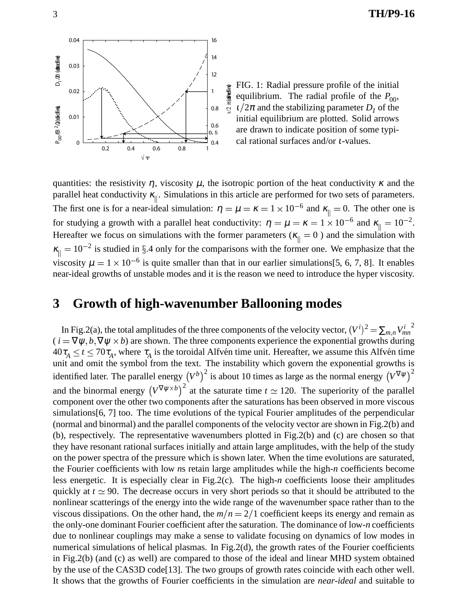0.04 16 1.4  $D_1/\mathcal{D}$  (doted ine)  $P_{00}$ (B  $2/2$ (Zotich ine), D  $\sim$  D  $\sim$ 0.03 12 0.02 1  $P_{00}$ /B  $^{2}$ /2(sbidine) 0.8 0.01 0.6  $0.5$  $\Omega$ 0.4 0.2 0.4 0.6 0.8 1 √ Ψ

FIG. 1: Radial pressure profile of the initial equilibrium. The radial profile of the  $P_{00}$ ,  $\frac{1}{2\pi}$  and the stabilizing parameter  $D_I$  of the initial equilibrium are plotted. Solid arrows are drawn to indicate position of some typical rational surfaces and/or <sup>ι</sup>-values.

quantities: the resistivity  $\eta$ , viscosity  $\mu$ , the isotropic portion of the heat conductivity  $\kappa$  and the parallel heat conductivity  $\kappa_{\parallel}$ . Simulations in this article are performed for two sets of parameters. The first one is for a near-ideal simulation:  $\eta = \mu = \kappa = 1 \times 10^{-6}$  and  $\kappa_{\parallel} = 0$ . The other one is for studying a growth with a parallel heat conductivity:  $η = μ = κ = 1 × 10<sup>-6</sup>$  and  $κ<sub>||</sub> = 10<sup>-2</sup>$ . Hereafter we focus on simulations with the former parameters ( $\kappa_{\parallel} = 0$ ) and the simulation with  $\kappa_{\parallel} = 10^{-2}$  is studied in §.4 only for the comparisons with the former one. We emphasize that the viscosity  $\mu = 1 \times 10^{-6}$  is quite smaller than that in our earlier simulations [5, 6, 7, 8]. It enables near-ideal growths of unstable modes and it is the reason we need to introduce the hyper viscosity.

 $\nu$ 2  $\pi$ (dahed line)

### **3 Growth of high-wavenumber Ballooning modes**

In Fig.2(a), the total amplitudes of the three components of the velocity vector,  $(V^i)^2 = \sum_{m,n} V_{mn}^i$ 2  $(i = \nabla \psi, b, \nabla \psi \times b)$  are shown. The three components experience the exponential growths during  $40\tau_A \le t \le 70\tau_A$ , where  $\tau_A$  is the toroidal Alfvén time unit. Hereafter, we assume this Alfvén time unit and omit the symbol from the text. The instability which govern the exponential growths is identified later. The parallel energy  $(V^b)^2$  is about 10 times as large as the normal energy  $(V^{\nabla\psi})^2$ and the binormal energy  $(V^{\nabla \psi \times b})^2$  at the saturate time  $t \approx 120$ . The superiority of the parallel component over the other two components after the saturations has been observed in more viscous simulations[6, 7] too. The time evolutions of the typical Fourier amplitudes of the perpendicular (normal and binormal) and the parallel components of the velocity vector are shown in Fig.2(b) and (b), respectively. The representative wavenumbers plotted in Fig.2(b) and (c) are chosen so that they have resonant rational surfaces initially and attain large amplitudes, with the help of the study on the power spectra of the pressure which is shown later. When the time evolutions are saturated, the Fourier coefficients with low *n*s retain large amplitudes while the high-*n* coefficients become less energetic. It is especially clear in Fig.2(c). The high-*n* coefficients loose their amplitudes quickly at  $t \approx 90$ . The decrease occurs in very short periods so that it should be attributed to the nonlinear scatterings of the energy into the wide range of the wavenumber space rather than to the viscous dissipations. On the other hand, the  $m/n = 2/1$  coefficient keeps its energy and remain as the only-one dominant Fourier coefficient after the saturation. The dominance of low-*n* coefficients due to nonlinear couplings may make a sense to validate focusing on dynamics of low modes in numerical simulations of helical plasmas. In Fig.2(d), the growth rates of the Fourier coefficients in Fig.2(b) (and (c) as well) are compared to those of the ideal and linear MHD system obtained by the use of the CAS3D code[13]. The two groups of growth rates coincide with each other well. It shows that the growths of Fourier coefficients in the simulation are *near-ideal* and suitable to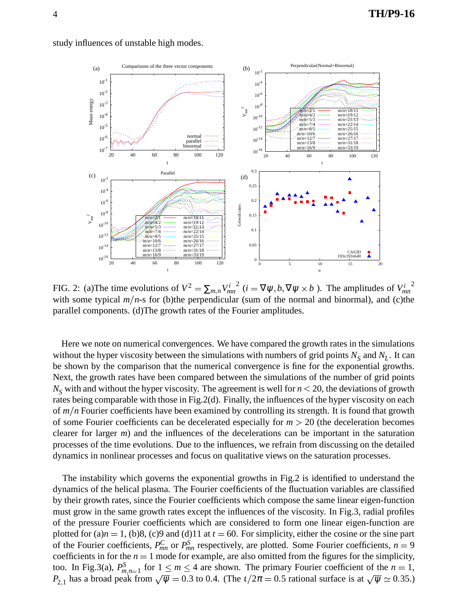

study influences of unstable high modes.

FIG. 2: (a) The time evolutions of  $V^2 = \sum_{m,n} V_{mn}^{i^2}$  (*i* = <sup>2</sup> (*i* =  $\nabla \psi$ , *b*,  $\nabla \psi \times b$ ). The amplitudes of  $V_{mn}^i$ 2 with some typical  $m/n$ -s for (b)the perpendicular (sum of the normal and binormal), and (c)the parallel components. (d)The growth rates of the Fourier amplitudes.

Here we note on numerical convergences. We have compared the growth rates in the simulations without the hyper viscosity between the simulations with numbers of grid points  $N<sub>S</sub>$  and  $N<sub>L</sub>$ . It can be shown by the comparison that the numerical convergence is fine for the exponential growths. Next, the growth rates have been compared between the simulations of the number of grid points  $N_S$  with and without the hyper viscosity. The agreement is well for  $n < 20$ , the deviations of growth rates being comparable with those in Fig.2(d). Finally, the influences of the hyper viscosity on each of *m*/*n* Fourier coefficients have been examined by controlling its strength. It is found that growth of some Fourier coefficients can be decelerated especially for  $m > 20$  (the deceleration becomes clearer for larger *m*) and the influences of the decelerations can be important in the saturation processes of the time evolutions. Due to the influences, we refrain from discussing on the detailed dynamics in nonlinear processes and focus on qualitative views on the saturation processes.

The instability which governs the exponential growths in Fig.2 is identified to understand the dynamics of the helical plasma. The Fourier coefficients of the fluctuation variables are classified by their growth rates, since the Fourier coefficients which compose the same linear eigen-function must grow in the same growth rates except the influences of the viscosity. In Fig.3, radial profiles of the pressure Fourier coefficients which are considered to form one linear eigen-function are plotted for  $(a)n = 1$ ,  $(b)8$ ,  $(c)9$  and  $(d)11$  at  $t = 60$ . For simplicity, either the cosine or the sine part of the Fourier coefficients,  $P_{mn}^C$  or  $P_{mn}^S$  respectively, are plotted. Some Fourier coefficients,  $n = 9$ coefficients in for the  $n = 1$  mode for example, are also omitted from the figures for the simplicity, too. In Fig.3(a),  $P_m^S$  $\sum_{m,n=1}^{S}$  for  $1 \leq m \leq 4$  are shown. The primary Fourier coefficient of the  $n=1$ ,  $P_{2,1}$  has a broad peak from  $\sqrt{\psi}$  = 0.3 to 0.4. (The  $t/2\pi$  = 0.5 rational surface is at  $\sqrt{\psi}$   $\approx$  0.35.)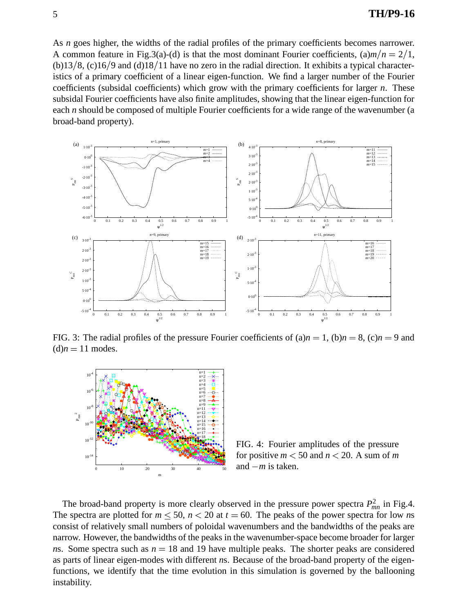As *n* goes higher, the widths of the radial profiles of the primary coefficients becomes narrower. A common feature in Fig.3(a)-(d) is that the most dominant Fourier coefficients,  $(a)m/n = 2/1$ ,  $(b)$ 13/8, (c)16/9 and (d)18/11 have no zero in the radial direction. It exhibits a typical characteristics of a primary coefficient of a linear eigen-function. We find a larger number of the Fourier coefficients (subsidal coefficients) which grow with the primary coefficients for larger *n*. These subsidal Fourier coefficients have also finite amplitudes, showing that the linear eigen-function for each *n* should be composed of multiple Fourier coefficients for a wide range of the wavenumber (a broad-band property).



FIG. 3: The radial profiles of the pressure Fourier coefficients of  $(a)n = 1$ ,  $(b)n = 8$ ,  $(c)n = 9$  and  $(d)n = 11$  modes.



FIG. 4: Fourier amplitudes of the pressure for positive  $m < 50$  and  $n < 20$ . A sum of m and *m* is taken.

The broad-band property is more clearly observed in the pressure power spectra  $P_{mn}^2$  in Fig.4. The spectra are plotted for  $m \leq 50$ ,  $n < 20$  at  $t = 60$ . The peaks of the power spectra for low *ns* consist of relatively small numbers of poloidal wavenumbers and the bandwidths of the peaks are narrow. However, the bandwidths of the peaks in the wavenumber-space become broader for larger *ns.* Some spectra such as  $n = 18$  and 19 have multiple peaks. The shorter peaks are considered as parts of linear eigen-modes with different *n*s. Because of the broad-band property of the eigenfunctions, we identify that the time evolution in this simulation is governed by the ballooning instability.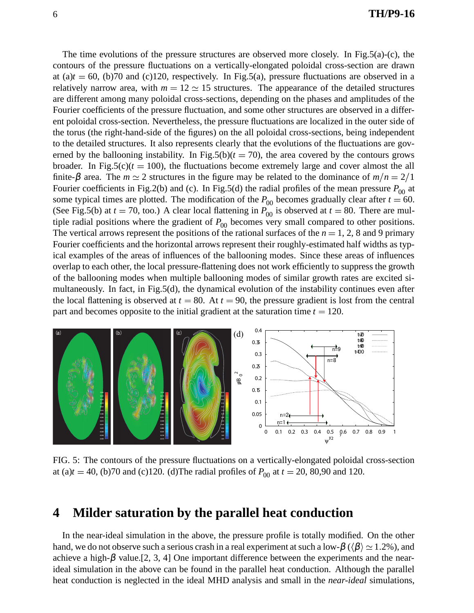The time evolutions of the pressure structures are observed more closely. In Fig.5(a)-(c), the contours of the pressure fluctuations on a vertically-elongated poloidal cross-section are drawn at (a) $t = 60$ , (b)70 and (c)120, respectively. In Fig.5(a), pressure fluctuations are observed in a relatively narrow area, with  $m = 12 \approx 15$  structures. The appearance of the detailed structures are different among many poloidal cross-sections, depending on the phases and amplitudes of the Fourier coefficients of the pressure fluctuation, and some other structures are observed in a different poloidal cross-section. Nevertheless, the pressure fluctuations are localized in the outer side of the torus (the right-hand-side of the figures) on the all poloidal cross-sections, being independent to the detailed structures. It also represents clearly that the evolutions of the fluctuations are governed by the ballooning instability. In Fig.5(b) $(t = 70)$ , the area covered by the contours grows broader. In Fig.5( $c$ )( $t = 100$ ), the fluctuations become extremely large and cover almost the all finite- $\beta$  area. The  $m \simeq 2$  structures in the figure may be related to the dominance of  $m/n = 2/1$ Fourier coefficients in Fig.2(b) and (c). In Fig.5(d) the radial profiles of the mean pressure  $P_{00}$  at some typical times are plotted. The modification of the  $P_{00}$  becomes gradually clear after  $t = 60$ . (See Fig.5(b) at  $t = 70$ , too.) A clear local flattening in  $P_{00}$  is observed at  $t = 80$ . There are multiple radial positions where the gradient of  $P_{00}$  becomes very small compared to other positions. The vertical arrows represent the positions of the rational surfaces of the  $n = 1, 2, 8$  and 9 primary Fourier coefficients and the horizontal arrows represent their roughly-estimated half widths as typical examples of the areas of influences of the ballooning modes. Since these areas of influences overlap to each other, the local pressure-flattening does not work efficiently to suppress the growth of the ballooning modes when multiple ballooning modes of similar growth rates are excited simultaneously. In fact, in Fig.5(d), the dynamical evolution of the instability continues even after the local flattening is observed at  $t = 80$ . At  $t = 90$ , the pressure gradient is lost from the central part and becomes opposite to the initial gradient at the saturation time  $t = 120$ .



FIG. 5: The contours of the pressure fluctuations on a vertically-elongated poloidal cross-section at (a) $t = 40$ , (b)70 and (c)120. (d)The radial profiles of  $P_{00}$  at  $t = 20$ , 80,90 and 120.

#### **4 Milder saturation by the parallel heat conduction**

In the near-ideal simulation in the above, the pressure profile is totally modified. On the other hand, we do not observe such a serious crash in a real experiment at such a low- $\beta$  ( $\langle \beta \rangle \simeq 1.2\%$ ), and achieve a high- $\beta$  value.[2, 3, 4] One important difference between the experiments and the nearideal simulation in the above can be found in the parallel heat conduction. Although the parallel heat conduction is neglected in the ideal MHD analysis and small in the *near-ideal* simulations,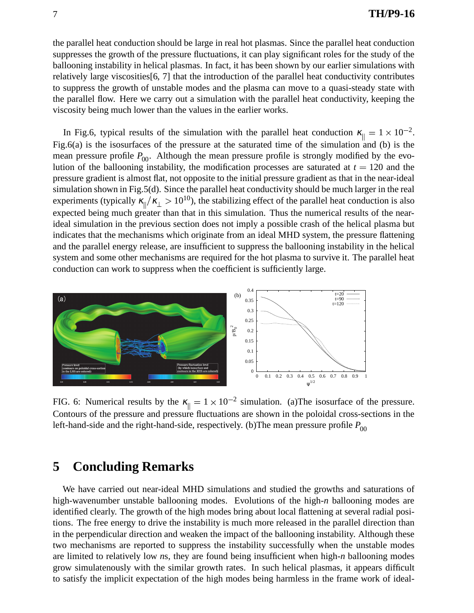the parallel heat conduction should be large in real hot plasmas. Since the parallel heat conduction suppresses the growth of the pressure fluctuations, it can play significant roles for the study of the ballooning instability in helical plasmas. In fact, it has been shown by our earlier simulations with relatively large viscosities[6, 7] that the introduction of the parallel heat conductivity contributes to suppress the growth of unstable modes and the plasma can move to a quasi-steady state with the parallel flow. Here we carry out a simulation with the parallel heat conductivity, keeping the viscosity being much lower than the values in the earlier works.

In Fig.6, typical results of the simulation with the parallel heat conduction  $\kappa_{\parallel} = 1 \times 10^{-2}$ . Fig.6(a) is the isosurfaces of the pressure at the saturated time of the simulation and (b) is the mean pressure profile  $P_{00}$ . Although the mean pressure profile is strongly modified by the evolution of the ballooning instability, the modification processes are saturated at  $t = 120$  and the pressure gradient is almost flat, not opposite to the initial pressure gradient as that in the near-ideal simulation shown in Fig.5(d). Since the parallel heat conductivity should be much larger in the real experiments (typically  $\kappa_{\parallel}/\kappa_{\perp} > 10^{10}$ ), the stabilizing effect of the parallel heat conduction is also expected being much greater than that in this simulation. Thus the numerical results of the nearideal simulation in the previous section does not imply a possible crash of the helical plasma but indicates that the mechanisms which originate from an ideal MHD system, the pressure flattening and the parallel energy release, are insufficient to suppress the ballooning instability in the helical system and some other mechanisms are required for the hot plasma to survive it. The parallel heat conduction can work to suppress when the coefficient is sufficiently large.



FIG. 6: Numerical results by the  $\kappa_{\parallel} = 1 \times 10^{-2}$  simulation. (a) The isosurface of the pressure. Contours of the pressure and pressure fluctuations are shown in the poloidal cross-sections in the left-hand-side and the right-hand-side, respectively. (b) The mean pressure profile  $P_{00}$ 

## **5 Concluding Remarks**

We have carried out near-ideal MHD simulations and studied the growths and saturations of high-wavenumber unstable ballooning modes. Evolutions of the high-*n* ballooning modes are identified clearly. The growth of the high modes bring about local flattening at several radial positions. The free energy to drive the instability is much more released in the parallel direction than in the perpendicular direction and weaken the impact of the ballooning instability. Although these two mechanisms are reported to suppress the instability successfully when the unstable modes are limited to relatively low *n*s, they are found being insufficient when high-*n* ballooning modes grow simulatenously with the similar growth rates. In such helical plasmas, it appears difficult to satisfy the implicit expectation of the high modes being harmless in the frame work of ideal